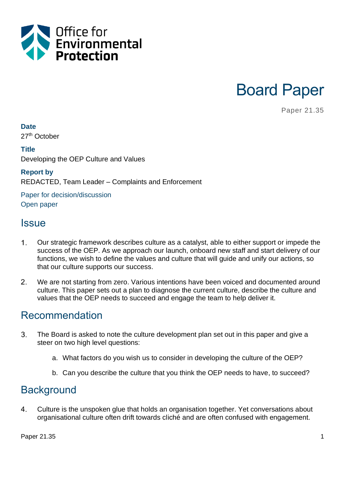

Board Paper

Paper 21.35

#### **Date**

27<sup>th</sup> October

#### **Title**

Developing the OEP Culture and Values

#### **Report by**

REDACTED, Team Leader – Complaints and Enforcement

Paper for decision/discussion Open paper

### **Issue**

- $\mathbf{1}$ . Our strategic framework describes culture as a catalyst, able to either support or impede the success of the OEP. As we approach our launch, onboard new staff and start delivery of our functions, we wish to define the values and culture that will guide and unify our actions, so that our culture supports our success.
- $2.$ We are not starting from zero. Various intentions have been voiced and documented around culture. This paper sets out a plan to diagnose the current culture, describe the culture and values that the OEP needs to succeed and engage the team to help deliver it.

## Recommendation

- $3_{-}$ The Board is asked to note the culture development plan set out in this paper and give a steer on two high level questions:
	- a. What factors do you wish us to consider in developing the culture of the OEP?
	- b. Can you describe the culture that you think the OEP needs to have, to succeed?

## **Background**

4. Culture is the unspoken glue that holds an organisation together. Yet conversations about organisational culture often drift towards cliché and are often confused with engagement.

Paper 21.35 1 and 21.35 1 and 21.35 in the set of the set of the set of the set of the set of the set of the set of the set of the set of the set of the set of the set of the set of the set of the set of the set of the set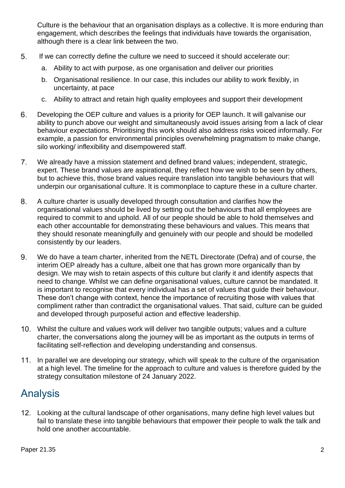Culture is the behaviour that an organisation displays as a collective. It is more enduring than engagement, which describes the feelings that individuals have towards the organisation, although there is a clear link between the two.

- 5. If we can correctly define the culture we need to succeed it should accelerate our:
	- a. Ability to act with purpose, as one organisation and deliver our priorities
	- b. Organisational resilience. In our case, this includes our ability to work flexibly, in uncertainty, at pace
	- c. Ability to attract and retain high quality employees and support their development
- 6. Developing the OEP culture and values is a priority for OEP launch. It will galvanise our ability to punch above our weight and simultaneously avoid issues arising from a lack of clear behaviour expectations. Prioritising this work should also address risks voiced informally. For example, a passion for environmental principles overwhelming pragmatism to make change, silo working/ inflexibility and disempowered staff.
- $7<sub>1</sub>$ We already have a mission statement and defined brand values; independent, strategic, expert. These brand values are aspirational, they reflect how we wish to be seen by others, but to achieve this, those brand values require translation into tangible behaviours that will underpin our organisational culture. It is commonplace to capture these in a culture charter.
- 8. A culture charter is usually developed through consultation and clarifies how the organisational values should be lived by setting out the behaviours that all employees are required to commit to and uphold. All of our people should be able to hold themselves and each other accountable for demonstrating these behaviours and values. This means that they should resonate meaningfully and genuinely with our people and should be modelled consistently by our leaders.
- 9. We do have a team charter, inherited from the NETL Directorate (Defra) and of course, the interim OEP already has a culture, albeit one that has grown more organically than by design. We may wish to retain aspects of this culture but clarify it and identify aspects that need to change. Whilst we can define organisational values, culture cannot be mandated. It is important to recognise that every individual has a set of values that guide their behaviour. These don't change with context, hence the importance of recruiting those with values that compliment rather than contradict the organisational values. That said, culture can be guided and developed through purposeful action and effective leadership.
- Whilst the culture and values work will deliver two tangible outputs; values and a culture charter, the conversations along the journey will be as important as the outputs in terms of facilitating self-reflection and developing understanding and consensus.
- 11. In parallel we are developing our strategy, which will speak to the culture of the organisation at a high level. The timeline for the approach to culture and values is therefore guided by the strategy consultation milestone of 24 January 2022.

# Analysis

Looking at the cultural landscape of other organisations, many define high level values but fail to translate these into tangible behaviours that empower their people to walk the talk and hold one another accountable.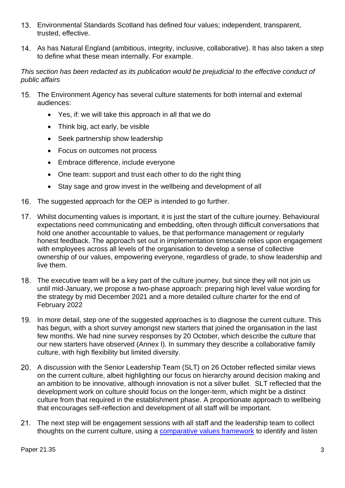- Environmental Standards Scotland has defined four values; independent, transparent, trusted, effective.
- As has Natural England (ambitious, integrity, inclusive, collaborative). It has also taken a step to define what these mean internally. For example.

#### *This section has been redacted as its publication would be prejudicial to the effective conduct of public affairs*

- The Environment Agency has several culture statements for both internal and external audiences:
	- Yes, if: we will take this approach in all that we do
	- Think big, act early, be visible
	- Seek partnership show leadership
	- Focus on outcomes not process
	- Embrace difference, include everyone
	- One team: support and trust each other to do the right thing
	- Stay sage and grow invest in the wellbeing and development of all
- 16. The suggested approach for the OEP is intended to go further.
- Whilst documenting values is important, it is just the start of the culture journey. Behavioural expectations need communicating and embedding, often through difficult conversations that hold one another accountable to values, be that performance management or regularly honest feedback. The approach set out in implementation timescale relies upon engagement with employees across all levels of the organisation to develop a sense of collective ownership of our values, empowering everyone, regardless of grade, to show leadership and live them.
- The executive team will be a key part of the culture journey, but since they will not join us until mid-January, we propose a two-phase approach: preparing high level value wording for the strategy by mid December 2021 and a more detailed culture charter for the end of February 2022
- In more detail, step one of the suggested approaches is to diagnose the current culture. This has begun, with a short survey amongst new starters that joined the organisation in the last few months. We had nine survey responses by 20 October, which describe the culture that our new starters have observed (Annex I). In summary they describe a collaborative family culture, with high flexibility but limited diversity.
- A discussion with the Senior Leadership Team (SLT) on 26 October reflected similar views on the current culture, albeit highlighting our focus on hierarchy around decision making and an ambition to be innovative, although innovation is not a silver bullet. SLT reflected that the development work on culture should focus on the longer-term, which might be a distinct culture from that required in the establishment phase. A proportionate approach to wellbeing that encourages self-reflection and development of all staff will be important.
- 21. The next step will be engagement sessions with all staff and the leadership team to collect thoughts on the current culture, using a [comparative values framework](file:///C:/Users/x956261/AppData/Local/Microsoft/Windows/INetCache/Content.Outlook/KUH9YUCG/DiagnosingandchangingorganizationalcultureBasedonthecompetingvaluesframework.pdf) to identify and listen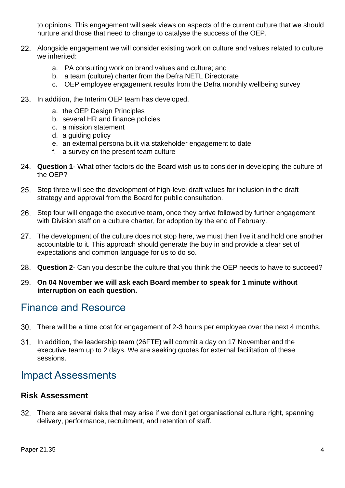to opinions. This engagement will seek views on aspects of the current culture that we should nurture and those that need to change to catalyse the success of the OEP.

- Alongside engagement we will consider existing work on culture and values related to culture we inherited:
	- a. PA consulting work on brand values and culture; and
	- b. a team (culture) charter from the Defra NETL Directorate
	- c. OEP employee engagement results from the Defra monthly wellbeing survey
- 23. In addition, the Interim OEP team has developed.
	- a. the OEP Design Principles
	- b. several HR and finance policies
	- c. a mission statement
	- d. a guiding policy
	- e. an external persona built via stakeholder engagement to date
	- f. a survey on the present team culture
- **Question 1** What other factors do the Board wish us to consider in developing the culture of the OEP?
- 25. Step three will see the development of high-level draft values for inclusion in the draft strategy and approval from the Board for public consultation.
- 26. Step four will engage the executive team, once they arrive followed by further engagement with Division staff on a culture charter, for adoption by the end of February.
- 27. The development of the culture does not stop here, we must then live it and hold one another accountable to it. This approach should generate the buy in and provide a clear set of expectations and common language for us to do so.
- **Question 2** Can you describe the culture that you think the OEP needs to have to succeed?
- **On 04 November we will ask each Board member to speak for 1 minute without interruption on each question.**

## Finance and Resource

- There will be a time cost for engagement of 2-3 hours per employee over the next 4 months.
- In addition, the leadership team (26FTE) will commit a day on 17 November and the executive team up to 2 days. We are seeking quotes for external facilitation of these sessions.

## Impact Assessments

#### **Risk Assessment**

There are several risks that may arise if we don't get organisational culture right, spanning delivery, performance, recruitment, and retention of staff.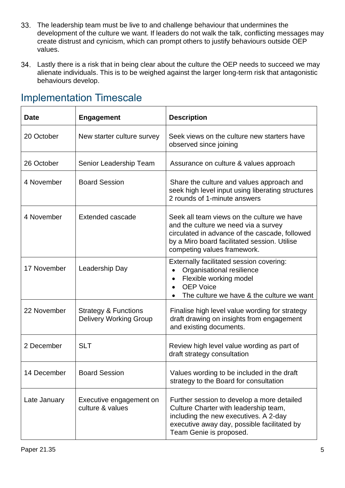- The leadership team must be live to and challenge behaviour that undermines the development of the culture we want. If leaders do not walk the talk, conflicting messages may create distrust and cynicism, which can prompt others to justify behaviours outside OEP values.
- Lastly there is a risk that in being clear about the culture the OEP needs to succeed we may alienate individuals. This is to be weighed against the larger long-term risk that antagonistic behaviours develop.

| <b>Date</b>  | <b>Engagement</b>                                                | <b>Description</b>                                                                                                                                                                                                  |
|--------------|------------------------------------------------------------------|---------------------------------------------------------------------------------------------------------------------------------------------------------------------------------------------------------------------|
| 20 October   | New starter culture survey                                       | Seek views on the culture new starters have<br>observed since joining                                                                                                                                               |
| 26 October   | Senior Leadership Team                                           | Assurance on culture & values approach                                                                                                                                                                              |
| 4 November   | <b>Board Session</b>                                             | Share the culture and values approach and<br>seek high level input using liberating structures<br>2 rounds of 1-minute answers                                                                                      |
| 4 November   | Extended cascade                                                 | Seek all team views on the culture we have<br>and the culture we need via a survey<br>circulated in advance of the cascade, followed<br>by a Miro board facilitated session. Utilise<br>competing values framework. |
| 17 November  | Leadership Day                                                   | Externally facilitated session covering:<br>Organisational resilience<br>Flexible working model<br>$\bullet$<br><b>OEP Voice</b><br>The culture we have & the culture we want                                       |
| 22 November  | <b>Strategy &amp; Functions</b><br><b>Delivery Working Group</b> | Finalise high level value wording for strategy<br>draft drawing on insights from engagement<br>and existing documents.                                                                                              |
| 2 December   | <b>SLT</b>                                                       | Review high level value wording as part of<br>draft strategy consultation                                                                                                                                           |
| 14 December  | <b>Board Session</b>                                             | Values wording to be included in the draft<br>strategy to the Board for consultation                                                                                                                                |
| Late January | Executive engagement on<br>culture & values                      | Further session to develop a more detailed<br>Culture Charter with leadership team,<br>including the new executives. A 2-day<br>executive away day, possible facilitated by<br>Team Genie is proposed.              |

# Implementation Timescale